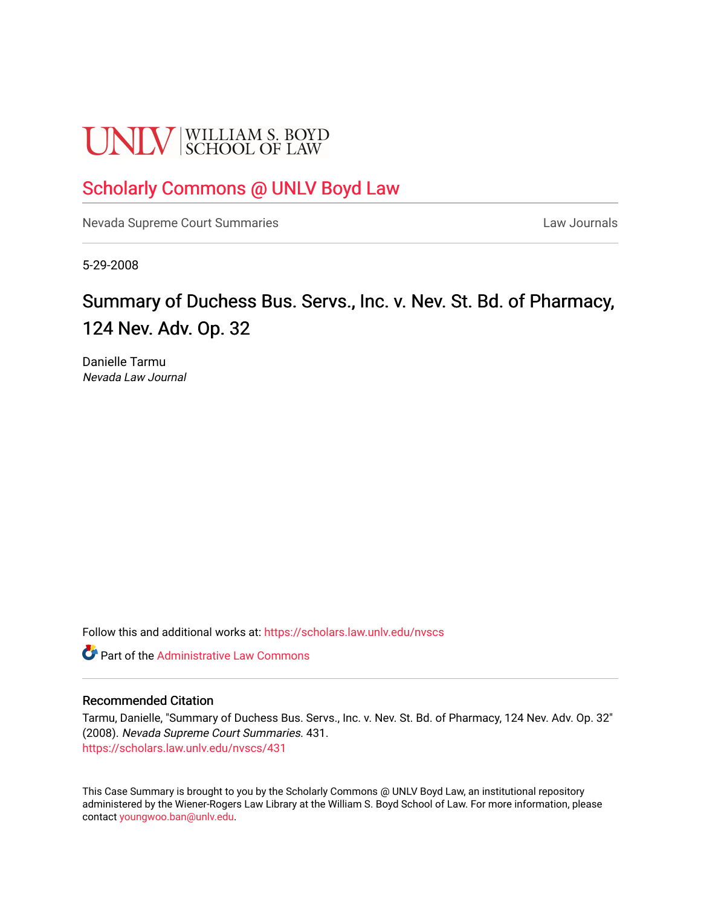# **UNLV** SCHOOL OF LAW

# [Scholarly Commons @ UNLV Boyd Law](https://scholars.law.unlv.edu/)

[Nevada Supreme Court Summaries](https://scholars.law.unlv.edu/nvscs) **Law Journals** Law Journals

5-29-2008

# Summary of Duchess Bus. Servs., Inc. v. Nev. St. Bd. of Pharmacy, 124 Nev. Adv. Op. 32

Danielle Tarmu Nevada Law Journal

Follow this and additional works at: [https://scholars.law.unlv.edu/nvscs](https://scholars.law.unlv.edu/nvscs?utm_source=scholars.law.unlv.edu%2Fnvscs%2F431&utm_medium=PDF&utm_campaign=PDFCoverPages)

**C** Part of the Administrative Law Commons

#### Recommended Citation

Tarmu, Danielle, "Summary of Duchess Bus. Servs., Inc. v. Nev. St. Bd. of Pharmacy, 124 Nev. Adv. Op. 32" (2008). Nevada Supreme Court Summaries. 431. [https://scholars.law.unlv.edu/nvscs/431](https://scholars.law.unlv.edu/nvscs/431?utm_source=scholars.law.unlv.edu%2Fnvscs%2F431&utm_medium=PDF&utm_campaign=PDFCoverPages)

This Case Summary is brought to you by the Scholarly Commons @ UNLV Boyd Law, an institutional repository administered by the Wiener-Rogers Law Library at the William S. Boyd School of Law. For more information, please contact [youngwoo.ban@unlv.edu](mailto:youngwoo.ban@unlv.edu).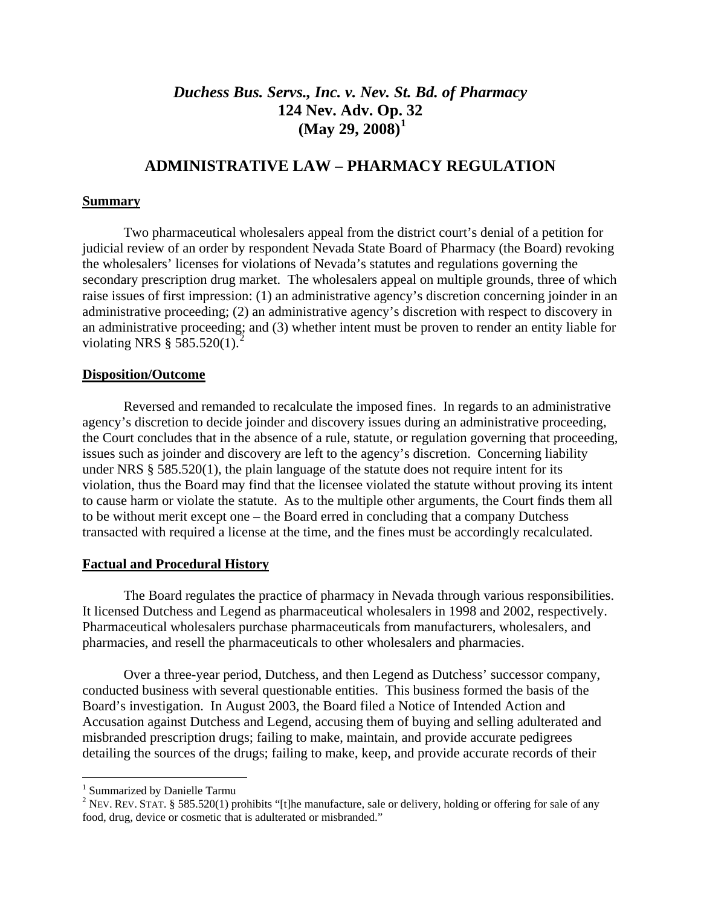## *Duchess Bus. Servs., Inc. v. Nev. St. Bd. of Pharmacy* **124 Nev. Adv. Op. [3](#page-1-0)2 (May 29, 2008)[1](#page-1-0)**

## **ADMINISTRATIVE LAW – PHARMACY REGULATION**

#### **Summary**

Two pharmaceutical wholesalers appeal from the district court's denial of a petition for judicial review of an order by respondent Nevada State Board of Pharmacy (the Board) revoking the wholesalers' licenses for violations of Nevada's statutes and regulations governing the secondary prescription drug market. The wholesalers appeal on multiple grounds, three of which raise issues of first impression: (1) an administrative agency's discretion concerning joinder in an administrative proceeding; (2) an administrative agency's discretion with respect to discovery in an administrative proceeding; and (3) whether intent must be proven to render an entity liable for violating NRS  $\S 585.520(1).^2$  $\S 585.520(1).^2$  $\S 585.520(1).^2$ 

#### **Disposition/Outcome**

 Reversed and remanded to recalculate the imposed fines. In regards to an administrative agency's discretion to decide joinder and discovery issues during an administrative proceeding, the Court concludes that in the absence of a rule, statute, or regulation governing that proceeding, issues such as joinder and discovery are left to the agency's discretion. Concerning liability under NRS § 585.520(1), the plain language of the statute does not require intent for its violation, thus the Board may find that the licensee violated the statute without proving its intent to cause harm or violate the statute. As to the multiple other arguments, the Court finds them all to be without merit except one – the Board erred in concluding that a company Dutchess transacted with required a license at the time, and the fines must be accordingly recalculated.

#### **Factual and Procedural History**

 The Board regulates the practice of pharmacy in Nevada through various responsibilities. It licensed Dutchess and Legend as pharmaceutical wholesalers in 1998 and 2002, respectively. Pharmaceutical wholesalers purchase pharmaceuticals from manufacturers, wholesalers, and pharmacies, and resell the pharmaceuticals to other wholesalers and pharmacies.

 Over a three-year period, Dutchess, and then Legend as Dutchess' successor company, conducted business with several questionable entities. This business formed the basis of the Board's investigation. In August 2003, the Board filed a Notice of Intended Action and Accusation against Dutchess and Legend, accusing them of buying and selling adulterated and misbranded prescription drugs; failing to make, maintain, and provide accurate pedigrees detailing the sources of the drugs; failing to make, keep, and provide accurate records of their

 $\overline{a}$ 

<sup>&</sup>lt;sup>1</sup> Summarized by Danielle Tarmu

<span id="page-1-1"></span><span id="page-1-0"></span><sup>&</sup>lt;sup>2</sup> NEV. REV. STAT. § 585.520(1) prohibits "[t]he manufacture, sale or delivery, holding or offering for sale of any food, drug, device or cosmetic that is adulterated or misbranded."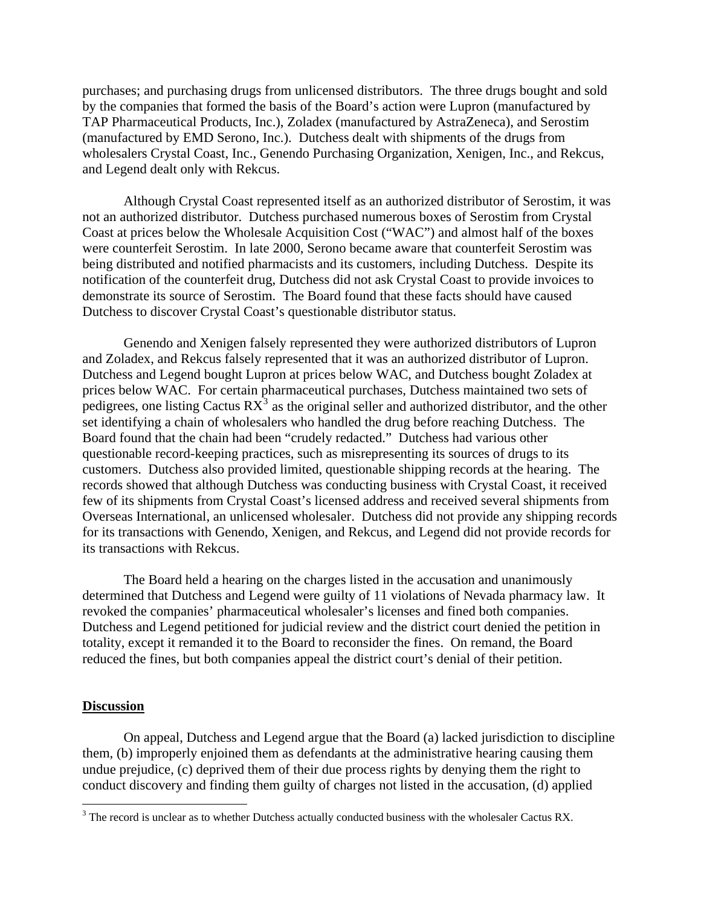purchases; and purchasing drugs from unlicensed distributors. The three drugs bought and sold by the companies that formed the basis of the Board's action were Lupron (manufactured by TAP Pharmaceutical Products, Inc.), Zoladex (manufactured by AstraZeneca), and Serostim (manufactured by EMD Serono, Inc.). Dutchess dealt with shipments of the drugs from wholesalers Crystal Coast, Inc., Genendo Purchasing Organization, Xenigen, Inc., and Rekcus, and Legend dealt only with Rekcus.

 Although Crystal Coast represented itself as an authorized distributor of Serostim, it was not an authorized distributor. Dutchess purchased numerous boxes of Serostim from Crystal Coast at prices below the Wholesale Acquisition Cost ("WAC") and almost half of the boxes were counterfeit Serostim. In late 2000, Serono became aware that counterfeit Serostim was being distributed and notified pharmacists and its customers, including Dutchess. Despite its notification of the counterfeit drug, Dutchess did not ask Crystal Coast to provide invoices to demonstrate its source of Serostim. The Board found that these facts should have caused Dutchess to discover Crystal Coast's questionable distributor status.

 Genendo and Xenigen falsely represented they were authorized distributors of Lupron and Zoladex, and Rekcus falsely represented that it was an authorized distributor of Lupron. Dutchess and Legend bought Lupron at prices below WAC, and Dutchess bought Zoladex at prices below WAC. For certain pharmaceutical purchases, Dutchess maintained two sets of pedigrees, one listing Cactus  $RX^3$  $RX^3$  as the original seller and authorized distributor, and the other set identifying a chain of wholesalers who handled the drug before reaching Dutchess. The Board found that the chain had been "crudely redacted." Dutchess had various other questionable record-keeping practices, such as misrepresenting its sources of drugs to its customers. Dutchess also provided limited, questionable shipping records at the hearing. The records showed that although Dutchess was conducting business with Crystal Coast, it received few of its shipments from Crystal Coast's licensed address and received several shipments from Overseas International, an unlicensed wholesaler. Dutchess did not provide any shipping records for its transactions with Genendo, Xenigen, and Rekcus, and Legend did not provide records for its transactions with Rekcus.

 The Board held a hearing on the charges listed in the accusation and unanimously determined that Dutchess and Legend were guilty of 11 violations of Nevada pharmacy law. It revoked the companies' pharmaceutical wholesaler's licenses and fined both companies. Dutchess and Legend petitioned for judicial review and the district court denied the petition in totality, except it remanded it to the Board to reconsider the fines. On remand, the Board reduced the fines, but both companies appeal the district court's denial of their petition.

#### **Discussion**

 On appeal, Dutchess and Legend argue that the Board (a) lacked jurisdiction to discipline them, (b) improperly enjoined them as defendants at the administrative hearing causing them undue prejudice, (c) deprived them of their due process rights by denying them the right to conduct discovery and finding them guilty of charges not listed in the accusation, (d) applied

<span id="page-2-0"></span><sup>&</sup>lt;sup>3</sup> The record is unclear as to whether Dutchess actually conducted business with the wholesaler Cactus RX.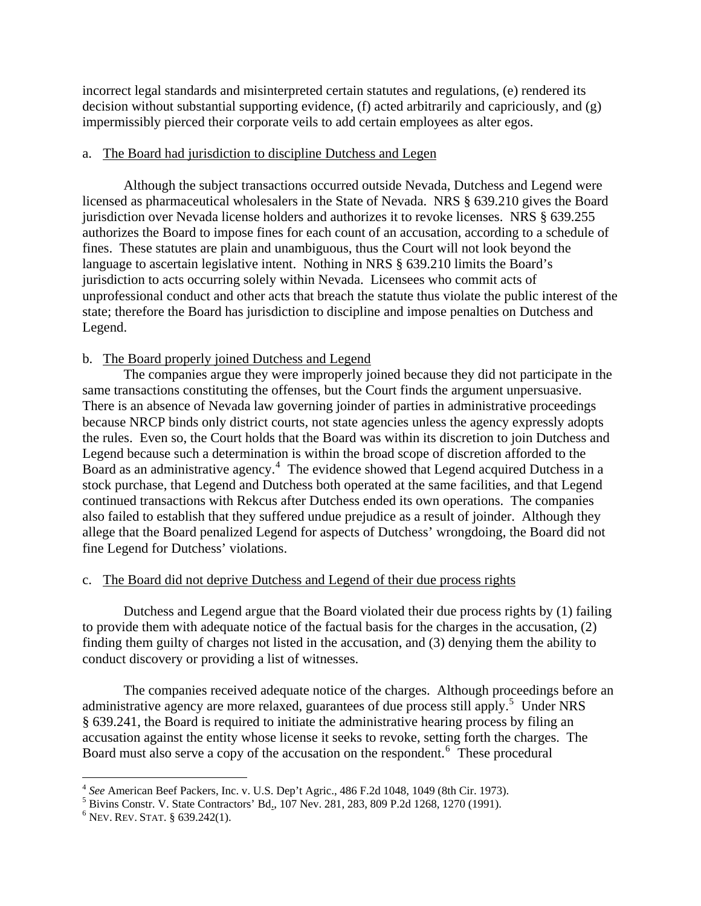incorrect legal standards and misinterpreted certain statutes and regulations, (e) rendered its decision without substantial supporting evidence, (f) acted arbitrarily and capriciously, and (g) impermissibly pierced their corporate veils to add certain employees as alter egos.

#### a. The Board had jurisdiction to discipline Dutchess and Legen

 Although the subject transactions occurred outside Nevada, Dutchess and Legend were licensed as pharmaceutical wholesalers in the State of Nevada. NRS § 639.210 gives the Board jurisdiction over Nevada license holders and authorizes it to revoke licenses. NRS § 639.255 authorizes the Board to impose fines for each count of an accusation, according to a schedule of fines. These statutes are plain and unambiguous, thus the Court will not look beyond the language to ascertain legislative intent. Nothing in NRS § 639.210 limits the Board's jurisdiction to acts occurring solely within Nevada. Licensees who commit acts of unprofessional conduct and other acts that breach the statute thus violate the public interest of the state; therefore the Board has jurisdiction to discipline and impose penalties on Dutchess and Legend.

#### b. The Board properly joined Dutchess and Legend

 The companies argue they were improperly joined because they did not participate in the same transactions constituting the offenses, but the Court finds the argument unpersuasive. There is an absence of Nevada law governing joinder of parties in administrative proceedings because NRCP binds only district courts, not state agencies unless the agency expressly adopts the rules. Even so, the Court holds that the Board was within its discretion to join Dutchess and Legend because such a determination is within the broad scope of discretion afforded to the Board as an administrative agency.<sup>[4](#page-3-0)</sup> The evidence showed that Legend acquired Dutchess in a stock purchase, that Legend and Dutchess both operated at the same facilities, and that Legend continued transactions with Rekcus after Dutchess ended its own operations. The companies also failed to establish that they suffered undue prejudice as a result of joinder. Although they allege that the Board penalized Legend for aspects of Dutchess' wrongdoing, the Board did not fine Legend for Dutchess' violations.

#### c. The Board did not deprive Dutchess and Legend of their due process rights

 Dutchess and Legend argue that the Board violated their due process rights by (1) failing to provide them with adequate notice of the factual basis for the charges in the accusation, (2) finding them guilty of charges not listed in the accusation, and (3) denying them the ability to conduct discovery or providing a list of witnesses.

 The companies received adequate notice of the charges. Although proceedings before an administrative agency are more relaxed, guarantees of due process still apply.<sup>[5](#page-3-1)</sup> Under NRS § 639.241, the Board is required to initiate the administrative hearing process by filing an accusation against the entity whose license it seeks to revoke, setting forth the charges. The Board must also serve a copy of the accusation on the respondent.<sup>[6](#page-3-2)</sup> These procedural

 $\overline{a}$ 

<sup>&</sup>lt;sup>4</sup> See American Beef Packers, Inc. v. U.S. Dep't Agric., 486 F.2d 1048, 1049 (8th Cir. 1973).<br><sup>5</sup> Piuine Constr. V. State Contractors' Rd. 107 Nov. 281, 283, 800 B.2d 1268, 1270 (1001).

<span id="page-3-1"></span><span id="page-3-0"></span><sup>&</sup>lt;sup>5</sup> Bivins Constr. V. State Contractors' Bd., 107 Nev. 281, 283, 809 P.2d 1268, 1270 (1991).

<span id="page-3-2"></span> $6$  Nev. Rev. Stat. § 639.242(1).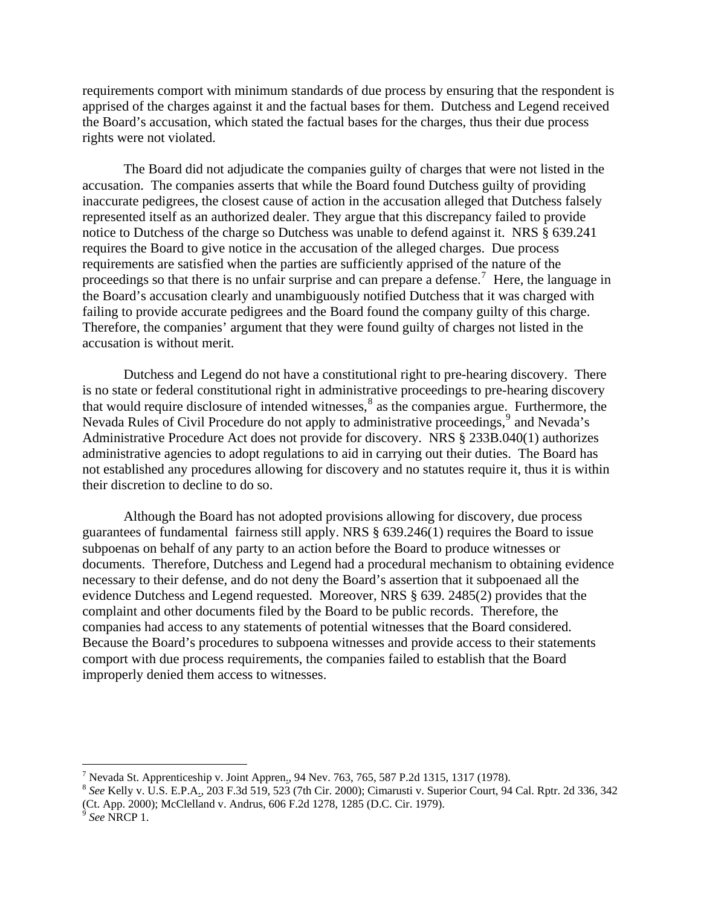requirements comport with minimum standards of due process by ensuring that the respondent is apprised of the charges against it and the factual bases for them. Dutchess and Legend received the Board's accusation, which stated the factual bases for the charges, thus their due process rights were not violated.

 The Board did not adjudicate the companies guilty of charges that were not listed in the accusation. The companies asserts that while the Board found Dutchess guilty of providing inaccurate pedigrees, the closest cause of action in the accusation alleged that Dutchess falsely represented itself as an authorized dealer. They argue that this discrepancy failed to provide notice to Dutchess of the charge so Dutchess was unable to defend against it. NRS § 639.241 requires the Board to give notice in the accusation of the alleged charges. Due process requirements are satisfied when the parties are sufficiently apprised of the nature of the proceedings so that there is no unfair surprise and can prepare a defense.<sup>[7](#page-4-0)</sup> Here, the language in the Board's accusation clearly and unambiguously notified Dutchess that it was charged with failing to provide accurate pedigrees and the Board found the company guilty of this charge. Therefore, the companies' argument that they were found guilty of charges not listed in the accusation is without merit.

 Dutchess and Legend do not have a constitutional right to pre-hearing discovery. There is no state or federal constitutional right in administrative proceedings to pre-hearing discovery that would require disclosure of intended witnesses,<sup>[8](#page-4-1)</sup> as the companies argue. Furthermore, the Nevada Rules of Civil Procedure do not apply to administrative proceedings,<sup>[9](#page-4-2)</sup> and Nevada's Administrative Procedure Act does not provide for discovery. NRS § 233B.040(1) authorizes administrative agencies to adopt regulations to aid in carrying out their duties. The Board has not established any procedures allowing for discovery and no statutes require it, thus it is within their discretion to decline to do so.

 Although the Board has not adopted provisions allowing for discovery, due process guarantees of fundamental fairness still apply. NRS § 639.246(1) requires the Board to issue subpoenas on behalf of any party to an action before the Board to produce witnesses or documents. Therefore, Dutchess and Legend had a procedural mechanism to obtaining evidence necessary to their defense, and do not deny the Board's assertion that it subpoenaed all the evidence Dutchess and Legend requested. Moreover, NRS § 639. 2485(2) provides that the complaint and other documents filed by the Board to be public records. Therefore, the companies had access to any statements of potential witnesses that the Board considered. Because the Board's procedures to subpoena witnesses and provide access to their statements comport with due process requirements, the companies failed to establish that the Board improperly denied them access to witnesses.

<u>.</u>

<sup>&</sup>lt;sup>7</sup> Nevada St. Apprenticeship v. Joint Appren., 94 Nev. 763, 765, 587 P.2d 1315, 1317 (1978).

<span id="page-4-1"></span><span id="page-4-0"></span><sup>&</sup>lt;sup>8</sup> See Kelly v. U.S. E.P.A., 203 F.3d 519, 523 (7th Cir. 2000); Cimarusti v. Superior Court, 94 Cal. Rptr. 2d 336, 342 (Ct. App. 2000); McClelland v. Andrus, 606 F.2d 1278, 1285 (D.C. Cir. 1979).

<span id="page-4-2"></span><sup>9</sup> *See* NRCP 1.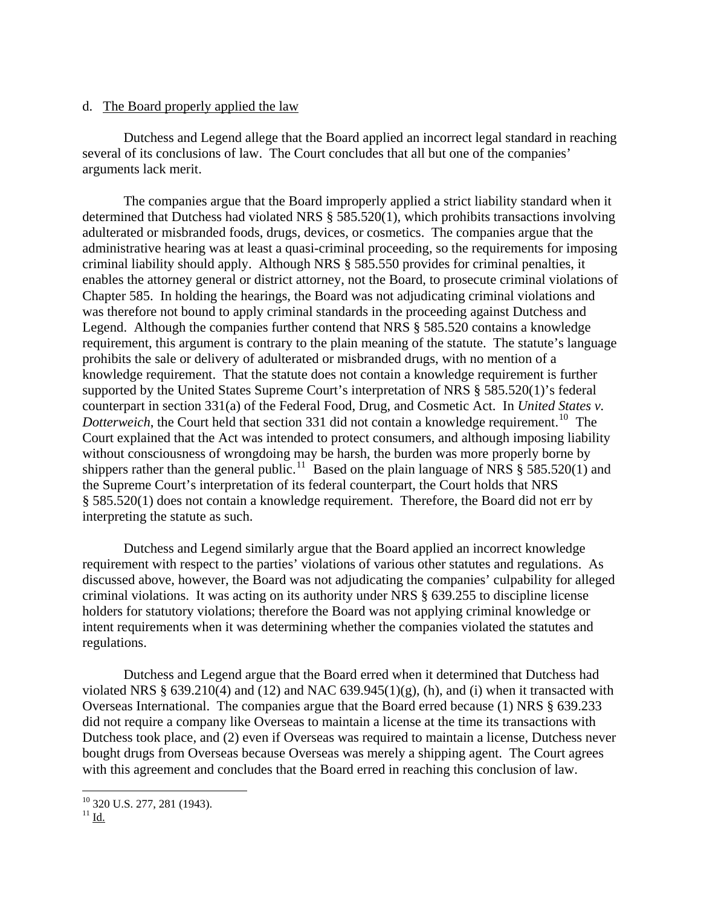#### d. The Board properly applied the law

 Dutchess and Legend allege that the Board applied an incorrect legal standard in reaching several of its conclusions of law. The Court concludes that all but one of the companies' arguments lack merit.

 The companies argue that the Board improperly applied a strict liability standard when it determined that Dutchess had violated NRS § 585.520(1), which prohibits transactions involving adulterated or misbranded foods, drugs, devices, or cosmetics. The companies argue that the administrative hearing was at least a quasi-criminal proceeding, so the requirements for imposing criminal liability should apply. Although NRS § 585.550 provides for criminal penalties, it enables the attorney general or district attorney, not the Board, to prosecute criminal violations of Chapter 585. In holding the hearings, the Board was not adjudicating criminal violations and was therefore not bound to apply criminal standards in the proceeding against Dutchess and Legend. Although the companies further contend that NRS § 585.520 contains a knowledge requirement, this argument is contrary to the plain meaning of the statute. The statute's language prohibits the sale or delivery of adulterated or misbranded drugs, with no mention of a knowledge requirement. That the statute does not contain a knowledge requirement is further supported by the United States Supreme Court's interpretation of NRS § 585.520(1)'s federal counterpart in section 331(a) of the Federal Food, Drug, and Cosmetic Act. In *United States v. Dotterweich*, the Court held that section 331 did not contain a knowledge requirement.<sup>[10](#page-5-0)</sup> The Court explained that the Act was intended to protect consumers, and although imposing liability without consciousness of wrongdoing may be harsh, the burden was more properly borne by shippers rather than the general public.<sup>[11](#page-5-1)</sup> Based on the plain language of NRS  $\S$  585.520(1) and the Supreme Court's interpretation of its federal counterpart, the Court holds that NRS § 585.520(1) does not contain a knowledge requirement. Therefore, the Board did not err by interpreting the statute as such.

 Dutchess and Legend similarly argue that the Board applied an incorrect knowledge requirement with respect to the parties' violations of various other statutes and regulations. As discussed above, however, the Board was not adjudicating the companies' culpability for alleged criminal violations. It was acting on its authority under NRS § 639.255 to discipline license holders for statutory violations; therefore the Board was not applying criminal knowledge or intent requirements when it was determining whether the companies violated the statutes and regulations.

 Dutchess and Legend argue that the Board erred when it determined that Dutchess had violated NRS  $\S$  639.210(4) and (12) and NAC 639.945(1)(g), (h), and (i) when it transacted with Overseas International. The companies argue that the Board erred because (1) NRS § 639.233 did not require a company like Overseas to maintain a license at the time its transactions with Dutchess took place, and (2) even if Overseas was required to maintain a license, Dutchess never bought drugs from Overseas because Overseas was merely a shipping agent. The Court agrees with this agreement and concludes that the Board erred in reaching this conclusion of law.

1

<sup>10 320</sup> U.S. 277, 281 (1943).

<span id="page-5-1"></span><span id="page-5-0"></span> $^{11}$  Id.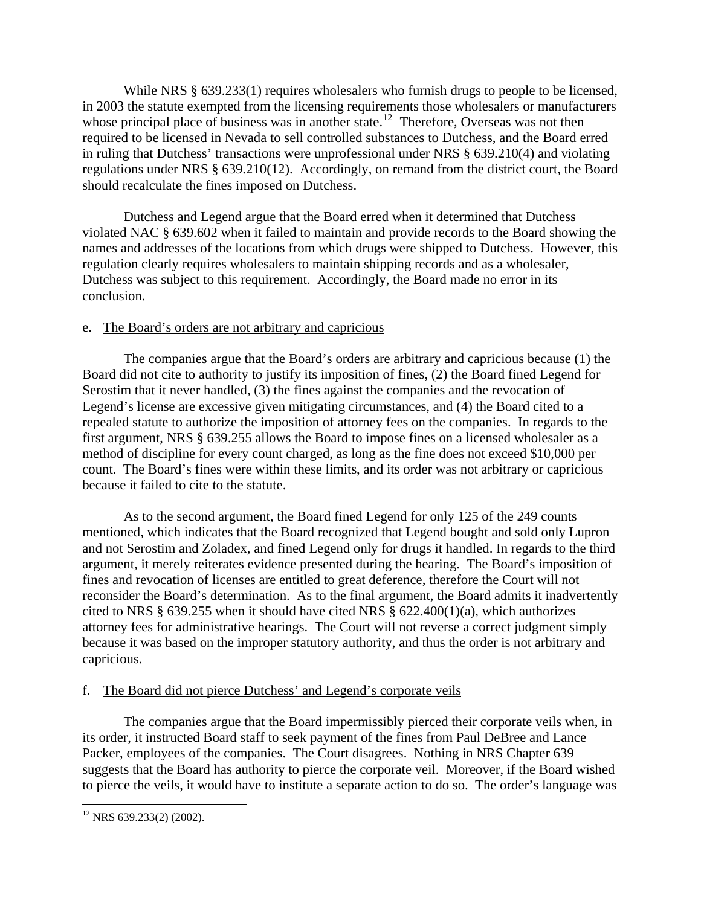While NRS § 639.233(1) requires wholesalers who furnish drugs to people to be licensed, in 2003 the statute exempted from the licensing requirements those wholesalers or manufacturers whose principal place of business was in another state.<sup>[12](#page-6-0)</sup> Therefore, Overseas was not then required to be licensed in Nevada to sell controlled substances to Dutchess, and the Board erred in ruling that Dutchess' transactions were unprofessional under NRS § 639.210(4) and violating regulations under NRS § 639.210(12). Accordingly, on remand from the district court, the Board should recalculate the fines imposed on Dutchess.

 Dutchess and Legend argue that the Board erred when it determined that Dutchess violated NAC § 639.602 when it failed to maintain and provide records to the Board showing the names and addresses of the locations from which drugs were shipped to Dutchess. However, this regulation clearly requires wholesalers to maintain shipping records and as a wholesaler, Dutchess was subject to this requirement. Accordingly, the Board made no error in its conclusion.

#### e. The Board's orders are not arbitrary and capricious

 The companies argue that the Board's orders are arbitrary and capricious because (1) the Board did not cite to authority to justify its imposition of fines, (2) the Board fined Legend for Serostim that it never handled, (3) the fines against the companies and the revocation of Legend's license are excessive given mitigating circumstances, and (4) the Board cited to a repealed statute to authorize the imposition of attorney fees on the companies. In regards to the first argument, NRS § 639.255 allows the Board to impose fines on a licensed wholesaler as a method of discipline for every count charged, as long as the fine does not exceed \$10,000 per count. The Board's fines were within these limits, and its order was not arbitrary or capricious because it failed to cite to the statute.

 As to the second argument, the Board fined Legend for only 125 of the 249 counts mentioned, which indicates that the Board recognized that Legend bought and sold only Lupron and not Serostim and Zoladex, and fined Legend only for drugs it handled. In regards to the third argument, it merely reiterates evidence presented during the hearing. The Board's imposition of fines and revocation of licenses are entitled to great deference, therefore the Court will not reconsider the Board's determination. As to the final argument, the Board admits it inadvertently cited to NRS § 639.255 when it should have cited NRS § 622.400(1)(a), which authorizes attorney fees for administrative hearings. The Court will not reverse a correct judgment simply because it was based on the improper statutory authority, and thus the order is not arbitrary and capricious.

### f. The Board did not pierce Dutchess' and Legend's corporate veils

 The companies argue that the Board impermissibly pierced their corporate veils when, in its order, it instructed Board staff to seek payment of the fines from Paul DeBree and Lance Packer, employees of the companies. The Court disagrees. Nothing in NRS Chapter 639 suggests that the Board has authority to pierce the corporate veil. Moreover, if the Board wished to pierce the veils, it would have to institute a separate action to do so. The order's language was

 $\overline{a}$ 

<span id="page-6-0"></span> $12$  NRS 639.233(2) (2002).